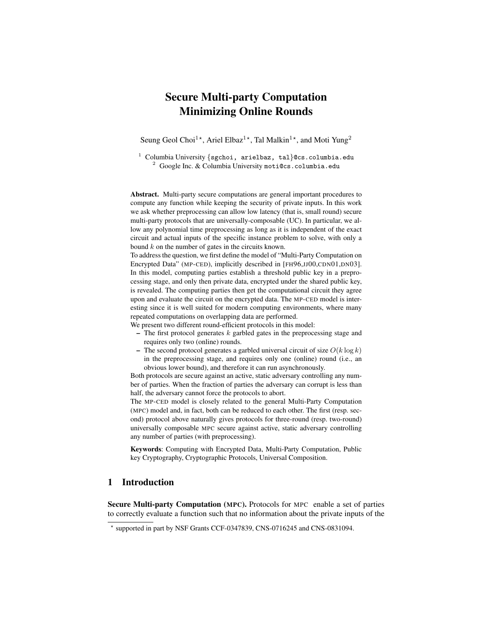# Secure Multi-party Computation Minimizing Online Rounds

Seung Geol Choi<sup>1\*</sup>, Ariel Elbaz<sup>1\*</sup>, Tal Malkin<sup>1\*</sup>, and Moti Yung<sup>2</sup>

 $1$  Columbia University {sgchoi, arielbaz, tal}@cs.columbia.edu  $^2$  Google Inc. & Columbia University moti@cs.columbia.edu

Abstract. Multi-party secure computations are general important procedures to compute any function while keeping the security of private inputs. In this work we ask whether preprocessing can allow low latency (that is, small round) secure multi-party protocols that are universally-composable (UC). In particular, we allow any polynomial time preprocessing as long as it is independent of the exact circuit and actual inputs of the specific instance problem to solve, with only a bound  $k$  on the number of gates in the circuits known.

To address the question, we first define the model of "Multi-Party Computation on Encrypted Data" (MP-CED), implicitly described in [FH96,JJ00,CDN01,DN03]. In this model, computing parties establish a threshold public key in a preprocessing stage, and only then private data, encrypted under the shared public key, is revealed. The computing parties then get the computational circuit they agree upon and evaluate the circuit on the encrypted data. The MP-CED model is interesting since it is well suited for modern computing environments, where many repeated computations on overlapping data are performed.

We present two different round-efficient protocols in this model:

- $-$  The first protocol generates  $k$  garbled gates in the preprocessing stage and requires only two (online) rounds.
- The second protocol generates a garbled universal circuit of size  $O(k \log k)$ in the preprocessing stage, and requires only one (online) round (i.e., an obvious lower bound), and therefore it can run asynchronously.

Both protocols are secure against an active, static adversary controlling any number of parties. When the fraction of parties the adversary can corrupt is less than half, the adversary cannot force the protocols to abort.

The MP-CED model is closely related to the general Multi-Party Computation (MPC) model and, in fact, both can be reduced to each other. The first (resp. second) protocol above naturally gives protocols for three-round (resp. two-round) universally composable MPC secure against active, static adversary controlling any number of parties (with preprocessing).

Keywords: Computing with Encrypted Data, Multi-Party Computation, Public key Cryptography, Cryptographic Protocols, Universal Composition.

# 1 Introduction

Secure Multi-party Computation (MPC). Protocols for MPC enable a set of parties to correctly evaluate a function such that no information about the private inputs of the

<sup>?</sup> supported in part by NSF Grants CCF-0347839, CNS-0716245 and CNS-0831094.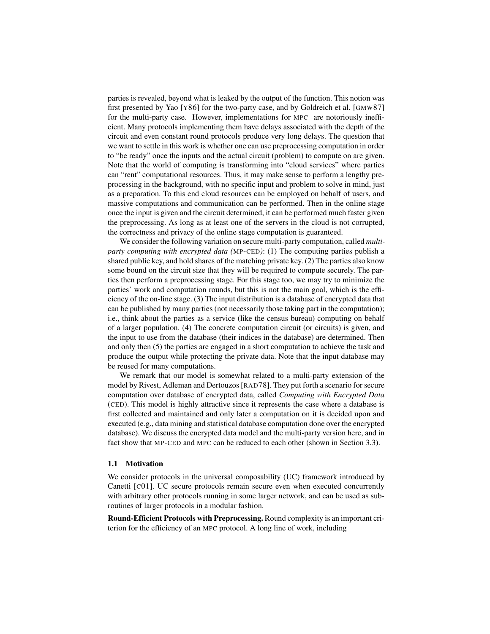parties is revealed, beyond what is leaked by the output of the function. This notion was first presented by Yao [Y86] for the two-party case, and by Goldreich et al. [GMW87] for the multi-party case. However, implementations for MPC are notoriously inefficient. Many protocols implementing them have delays associated with the depth of the circuit and even constant round protocols produce very long delays. The question that we want to settle in this work is whether one can use preprocessing computation in order to "be ready" once the inputs and the actual circuit (problem) to compute on are given. Note that the world of computing is transforming into "cloud services" where parties can "rent" computational resources. Thus, it may make sense to perform a lengthy preprocessing in the background, with no specific input and problem to solve in mind, just as a preparation. To this end cloud resources can be employed on behalf of users, and massive computations and communication can be performed. Then in the online stage once the input is given and the circuit determined, it can be performed much faster given the preprocessing. As long as at least one of the servers in the cloud is not corrupted, the correctness and privacy of the online stage computation is guaranteed.

We consider the following variation on secure multi-party computation, called *multiparty computing with encrypted data (*MP-CED*)*: (1) The computing parties publish a shared public key, and hold shares of the matching private key. (2) The parties also know some bound on the circuit size that they will be required to compute securely. The parties then perform a preprocessing stage. For this stage too, we may try to minimize the parties' work and computation rounds, but this is not the main goal, which is the efficiency of the on-line stage. (3) The input distribution is a database of encrypted data that can be published by many parties (not necessarily those taking part in the computation); i.e., think about the parties as a service (like the census bureau) computing on behalf of a larger population. (4) The concrete computation circuit (or circuits) is given, and the input to use from the database (their indices in the database) are determined. Then and only then (5) the parties are engaged in a short computation to achieve the task and produce the output while protecting the private data. Note that the input database may be reused for many computations.

We remark that our model is somewhat related to a multi-party extension of the model by Rivest, Adleman and Dertouzos [RAD78]. They put forth a scenario for secure computation over database of encrypted data, called *Computing with Encrypted Data* (CED). This model is highly attractive since it represents the case where a database is first collected and maintained and only later a computation on it is decided upon and executed (e.g., data mining and statistical database computation done over the encrypted database). We discuss the encrypted data model and the multi-party version here, and in fact show that MP-CED and MPC can be reduced to each other (shown in Section 3.3).

#### 1.1 Motivation

We consider protocols in the universal composability (UC) framework introduced by Canetti [C01]. UC secure protocols remain secure even when executed concurrently with arbitrary other protocols running in some larger network, and can be used as subroutines of larger protocols in a modular fashion.

Round-Efficient Protocols with Preprocessing. Round complexity is an important criterion for the efficiency of an MPC protocol. A long line of work, including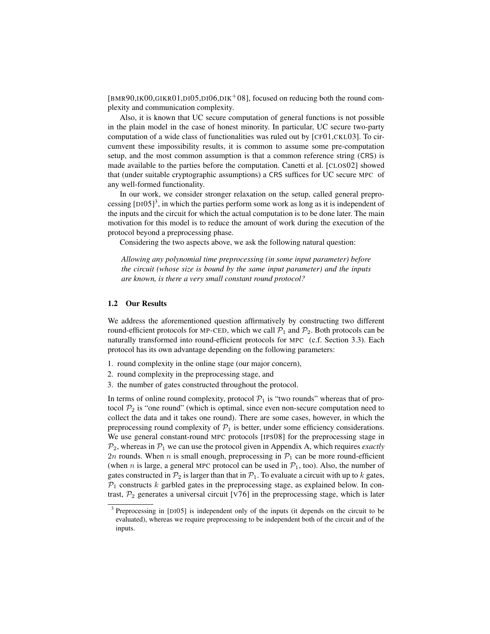[BMR90,IK00,GIKR01,DI05,DI06,DIK+08], focused on reducing both the round complexity and communication complexity.

Also, it is known that UC secure computation of general functions is not possible in the plain model in the case of honest minority. In particular, UC secure two-party computation of a wide class of functionalities was ruled out by [CF01,CKL03]. To circumvent these impossibility results, it is common to assume some pre-computation setup, and the most common assumption is that a common reference string (CRS) is made available to the parties before the computation. Canetti et al. [CLOS02] showed that (under suitable cryptographic assumptions) a CRS suffices for UC secure MPC of any well-formed functionality.

In our work, we consider stronger relaxation on the setup, called general preprocessing  $[DIO5]^3$ , in which the parties perform some work as long as it is independent of the inputs and the circuit for which the actual computation is to be done later. The main motivation for this model is to reduce the amount of work during the execution of the protocol beyond a preprocessing phase.

Considering the two aspects above, we ask the following natural question:

*Allowing any polynomial time preprocessing (in some input parameter) before the circuit (whose size is bound by the same input parameter) and the inputs are known, is there a very small constant round protocol?*

#### 1.2 Our Results

We address the aforementioned question affirmatively by constructing two different round-efficient protocols for MP-CED, which we call  $\mathcal{P}_1$  and  $\mathcal{P}_2$ . Both protocols can be naturally transformed into round-efficient protocols for MPC (c.f. Section 3.3). Each protocol has its own advantage depending on the following parameters:

- 1. round complexity in the online stage (our major concern),
- 2. round complexity in the preprocessing stage, and
- 3. the number of gates constructed throughout the protocol.

In terms of online round complexity, protocol  $P_1$  is "two rounds" whereas that of protocol  $P_2$  is "one round" (which is optimal, since even non-secure computation need to collect the data and it takes one round). There are some cases, however, in which the preprocessing round complexity of  $P_1$  is better, under some efficiency considerations. We use general constant-round MPC protocols [IPS08] for the preprocessing stage in  $\mathcal{P}_2$ , whereas in  $\mathcal{P}_1$  we can use the protocol given in Appendix A, which requires *exactly* 2n rounds. When n is small enough, preprocessing in  $P_1$  can be more round-efficient (when *n* is large, a general MPC protocol can be used in  $P_1$ , too). Also, the number of gates constructed in  $\mathcal{P}_2$  is larger than that in  $\mathcal{P}_1$ . To evaluate a circuit with up to k gates,  $P_1$  constructs k garbled gates in the preprocessing stage, as explained below. In contrast,  $P_2$  generates a universal circuit [V76] in the preprocessing stage, which is later

<sup>&</sup>lt;sup>3</sup> Preprocessing in [DI05] is independent only of the inputs (it depends on the circuit to be evaluated), whereas we require preprocessing to be independent both of the circuit and of the inputs.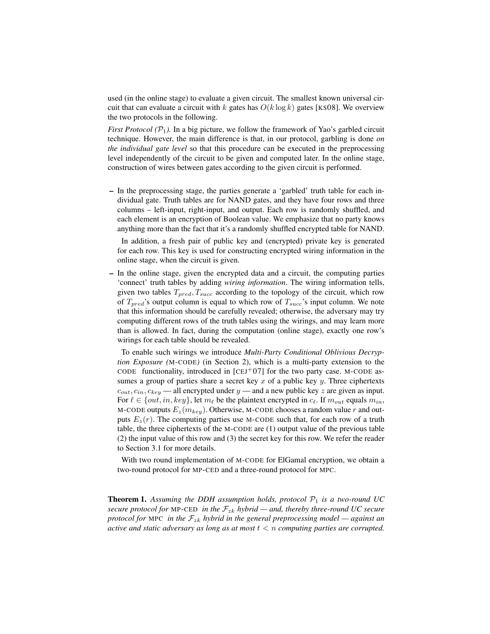used (in the online stage) to evaluate a given circuit. The smallest known universal circuit that can evaluate a circuit with  $k$  gates has  $O(k \log k)$  gates [KS08]. We overview the two protocols in the following.

*First Protocol* ( $P_1$ ). In a big picture, we follow the framework of Yao's garbled circuit technique. However, the main difference is that, in our protocol, garbling is done *on the individual gate level* so that this procedure can be executed in the preprocessing level independently of the circuit to be given and computed later. In the online stage, construction of wires between gates according to the given circuit is performed.

– In the preprocessing stage, the parties generate a 'garbled' truth table for each individual gate. Truth tables are for NAND gates, and they have four rows and three columns – left-input, right-input, and output. Each row is randomly shuffled, and each element is an encryption of Boolean value. We emphasize that no party knows anything more than the fact that it's a randomly shuffled encrypted table for NAND.

In addition, a fresh pair of public key and (encrypted) private key is generated for each row. This key is used for constructing encrypted wiring information in the online stage, when the circuit is given.

– In the online stage, given the encrypted data and a circuit, the computing parties 'connect' truth tables by adding *wiring information*. The wiring information tells, given two tables  $T_{pred}$ ,  $T_{succ}$  according to the topology of the circuit, which row of  $T_{pred}$ 's output column is equal to which row of  $T_{succ}$ 's input column. We note that this information should be carefully revealed; otherwise, the adversary may try computing different rows of the truth tables using the wirings, and may learn more than is allowed. In fact, during the computation (online stage), exactly one row's wirings for each table should be revealed.

To enable such wirings we introduce *Multi-Party Conditional Oblivious Decryption Exposure (*M-CODE*)* (in Section 2), which is a multi-party extension to the CODE functionality, introduced in  $[CEJ^+07]$  for the two party case. M-CODE assumes a group of parties share a secret key  $x$  of a public key  $y$ . Three ciphertexts  $c_{out}, c_{in}, c_{key}$  — all encrypted under  $y$  — and a new public key  $z$  are given as input. For  $\ell \in \{out, in, key\}$ , let  $m_{\ell}$  be the plaintext encrypted in  $c_{\ell}$ . If  $m_{out}$  equals  $m_{in}$ , M-CODE outputs  $E_z(m_{key})$ . Otherwise, M-CODE chooses a random value r and outputs  $E_z(r)$ . The computing parties use M-CODE such that, for each row of a truth table, the three ciphertexts of the M-CODE are (1) output value of the previous table (2) the input value of this row and (3) the secret key for this row. We refer the reader to Section 3.1 for more details.

With two round implementation of M-CODE for ElGamal encryption, we obtain a two-round protocol for MP-CED and a three-round protocol for MPC.

**Theorem 1.** Assuming the DDH assumption holds, protocol  $P_1$  is a two-round UC *secure protocol for* MP-CED *in the*  $\mathcal{F}_{zk}$  *hybrid* — and, *thereby three-round UC secure protocol for* MPC *in the*  $\mathcal{F}_{zk}$  *hybrid in the general preprocessing model* — *against an active and static adversary as long as at most* t < n *computing parties are corrupted.*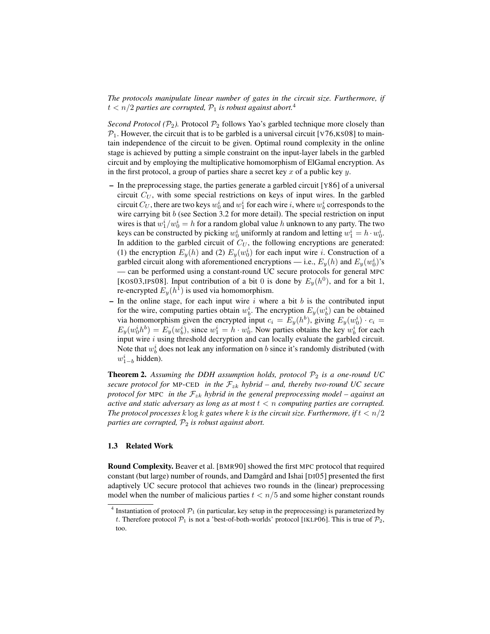*The protocols manipulate linear number of gates in the circuit size. Furthermore, if*  $t < n/2$  parties are corrupted,  $P_1$  is robust against abort.<sup>4</sup>

*Second Protocol (P<sub>2</sub>).* Protocol  $P_2$  follows Yao's garbled technique more closely than  $P_1$ . However, the circuit that is to be garbled is a universal circuit [V76,KS08] to maintain independence of the circuit to be given. Optimal round complexity in the online stage is achieved by putting a simple constraint on the input-layer labels in the garbled circuit and by employing the multiplicative homomorphism of ElGamal encryption. As in the first protocol, a group of parties share a secret key  $x$  of a public key  $y$ .

- In the preprocessing stage, the parties generate a garbled circuit [Y86] of a universal circuit  $C_U$ , with some special restrictions on keys of input wires. In the garbled circuit  $C_U$ , there are two keys  $w_0^i$  and  $w_1^i$  for each wire  $i$ , where  $w_b^i$  corresponds to the wire carrying bit  $b$  (see Section 3.2 for more detail). The special restriction on input wires is that  $w_1^i/w_0^i = h$  for a random global value h unknown to any party. The two keys can be constructed by picking  $w_0^i$  uniformly at random and letting  $w_1^i = h \cdot w_0^i$ . In addition to the garbled circuit of  $C_U$ , the following encryptions are generated: (1) the encryption  $E_y(h)$  and (2)  $E_y(w_0^i)$  for each input wire *i*. Construction of a garbled circuit along with aforementioned encryptions — i.e.,  $E_y(h)$  and  $E_y(w_0^i)$ 's — can be performed using a constant-round UC secure protocols for general MPC [KOS03,IPS08]. Input contribution of a bit 0 is done by  $E_y(h^0)$ , and for a bit 1, re-encrypted  $E_y(h^1)$  is used via homomorphism.
- In the online stage, for each input wire  $i$  where a bit  $b$  is the contributed input for the wire, computing parties obtain  $w_b^i$ . The encryption  $E_y(w_b^i)$  can be obtained via homomorphism given the encrypted input  $c_i = E_y(h^b)$ , giving  $E_y(w_0^i) \cdot c_i =$  $E_y(w_0^i h^b) = E_y(w_b^i)$ , since  $w_1^i = h \cdot w_0^i$ . Now parties obtains the key  $w_b^i$  for each input wire  $i$  using threshold decryption and can locally evaluate the garbled circuit. Note that  $w_b^i$  does not leak any information on b since it's randomly distributed (with  $w_{1-b}^i$  hidden).

**Theorem 2.** Assuming the DDH assumption holds, protocol  $P_2$  is a one-round UC *secure protocol for* MP-CED *in the*  $\mathcal{F}_{zk}$  *hybrid – and, thereby two-round UC secure protocol for* MPC *in the*  $\mathcal{F}_{z_k}$  *hybrid in the general preprocessing model – against an active and static adversary as long as at most* t < n *computing parties are corrupted. The protocol processes*  $k \log k$  *gates where*  $k$  *is the circuit size. Furthermore, if*  $t < n/2$ *parties are corrupted,*  $P_2$  *is robust against abort.* 

## 1.3 Related Work

Round Complexity. Beaver et al. [BMR90] showed the first MPC protocol that required constant (but large) number of rounds, and Damgård and Ishai [DI05] presented the first adaptively UC secure protocol that achieves two rounds in the (linear) preprocessing model when the number of malicious parties  $t < n/5$  and some higher constant rounds

<sup>&</sup>lt;sup>4</sup> Instantiation of protocol  $\mathcal{P}_1$  (in particular, key setup in the preprocessing) is parameterized by t. Therefore protocol  $P_1$  is not a 'best-of-both-worlds' protocol [IKLP06]. This is true of  $P_2$ , too.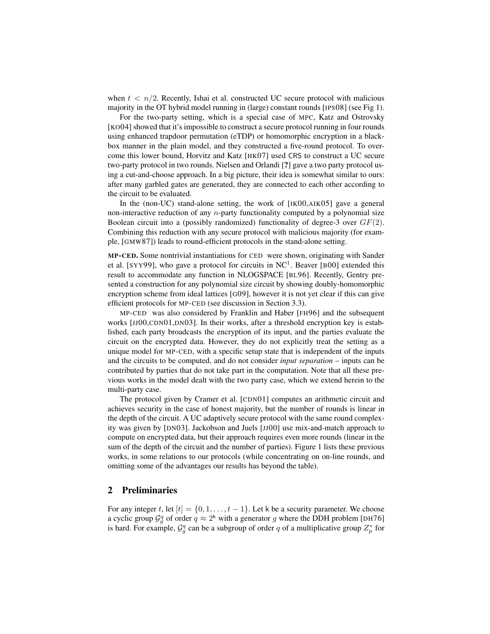when  $t < n/2$ . Recently, Ishai et al. constructed UC secure protocol with malicious majority in the OT hybrid model running in (large) constant rounds [IPS08] (see Fig 1).

For the two-party setting, which is a special case of MPC, Katz and Ostrovsky [KO04] showed that it's impossible to construct a secure protocol running in four rounds using enhanced trapdoor permutation (eTDP) or homomorphic encryption in a blackbox manner in the plain model, and they constructed a five-round protocol. To overcome this lower bound, Horvitz and Katz [HK07] used CRS to construct a UC secure two-party protocol in two rounds. Nielsen and Orlandi [?] gave a two party protocol using a cut-and-choose approach. In a big picture, their idea is somewhat similar to ours: after many garbled gates are generated, they are connected to each other according to the circuit to be evaluated.

In the (non-UC) stand-alone setting, the work of [IK00,AIK05] gave a general non-interactive reduction of any  $n$ -party functionality computed by a polynomial size Boolean circuit into a (possibly randomized) functionality of degree-3 over  $GF(2)$ . Combining this reduction with any secure protocol with malicious majority (for example, [GMW87]) leads to round-efficient protocols in the stand-alone setting.

MP-CED. Some nontrivial instantiations for CED were shown, originating with Sander et al. [SYY99], who gave a protocol for circuits in  $NC<sup>1</sup>$ . Beaver [B00] extended this result to accommodate any function in NLOGSPACE [BL96]. Recently, Gentry presented a construction for any polynomial size circuit by showing doubly-homomorphic encryption scheme from ideal lattices [G09], however it is not yet clear if this can give efficient protocols for MP-CED (see discussion in Section 3.3).

MP-CED was also considered by Franklin and Haber [FH96] and the subsequent works [JJ00,CDN01,DN03]. In their works, after a threshold encryption key is established, each party broadcasts the encryption of its input, and the parties evaluate the circuit on the encrypted data. However, they do not explicitly treat the setting as a unique model for MP-CED, with a specific setup state that is independent of the inputs and the circuits to be computed, and do not consider *input separation* – inputs can be contributed by parties that do not take part in the computation. Note that all these previous works in the model dealt with the two party case, which we extend herein to the multi-party case.

The protocol given by Cramer et al. [CDN01] computes an arithmetic circuit and achieves security in the case of honest majority, but the number of rounds is linear in the depth of the circuit. A UC adaptively secure protocol with the same round complexity was given by [DN03]. Jackobson and Juels [JJ00] use mix-and-match approach to compute on encrypted data, but their approach requires even more rounds (linear in the sum of the depth of the circuit and the number of parties). Figure 1 lists these previous works, in some relations to our protocols (while concentrating on on-line rounds, and omitting some of the advantages our results has beyond the table).

# 2 Preliminaries

For any integer t, let  $[t] = \{0, 1, \ldots, t-1\}$ . Let k be a security parameter. We choose a cyclic group  $\mathcal{G}_{g}^{q}$  of order  $q \approx 2^{k}$  with a generator g where the DDH problem [DH76] is hard. For example,  $\mathcal{G}_{g}^{q}$  can be a subgroup of order q of a multiplicative group  $Z_{p}^{*}$  for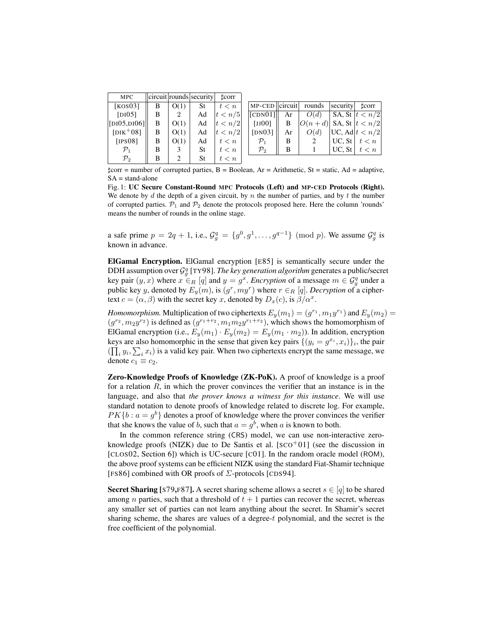| $ circuit $ rounds $ security $<br>$\sharp$ corr<br>MPC<br>[KOS03]<br>O(1)<br>В<br>St<br>t < n<br>[D105]<br> t < n/5 <br>Ad<br>B<br>2<br>[D105,D106]<br> t < n/2 <br>O(1)<br>Ad<br>B<br>[ $DIK$ <sup>+</sup> 08]<br> t < n/2 <br>O(1)<br>Ad<br>B<br>[IPS08]<br>O(1)<br>Ad<br>t < n<br>B<br>B<br>$\mathcal{P}_1$<br>St<br>t < n<br>3<br>В<br>t < n<br>St<br>$\mathcal{P}_{2}$ |            |  |  |  |  |
|------------------------------------------------------------------------------------------------------------------------------------------------------------------------------------------------------------------------------------------------------------------------------------------------------------------------------------------------------------------------------|------------|--|--|--|--|
|                                                                                                                                                                                                                                                                                                                                                                              |            |  |  |  |  |
|                                                                                                                                                                                                                                                                                                                                                                              | $MP-$      |  |  |  |  |
|                                                                                                                                                                                                                                                                                                                                                                              | [CDN]      |  |  |  |  |
|                                                                                                                                                                                                                                                                                                                                                                              | [JJC       |  |  |  |  |
|                                                                                                                                                                                                                                                                                                                                                                              | <b>DN</b>  |  |  |  |  |
|                                                                                                                                                                                                                                                                                                                                                                              | ${\cal P}$ |  |  |  |  |
|                                                                                                                                                                                                                                                                                                                                                                              | ${\cal P}$ |  |  |  |  |
|                                                                                                                                                                                                                                                                                                                                                                              |            |  |  |  |  |

|  | $MP$ -CED $  $ circuit $  $ rounds |    |                               | security                   | $t$ corr               |
|--|------------------------------------|----|-------------------------------|----------------------------|------------------------|
|  | [CDN01]                            | Ar | O(d)                          |                            | $ $ SA, St $ t < n/2 $ |
|  | [ <sub>J</sub> 00]                 | B  | $ O(n+d) $ SA, St $ t < n/2 $ |                            |                        |
|  | [ $DN03$ ]                         | Ar | O(d)                          |                            | UC, Ad t < n/2         |
|  | $\mathcal{P}_1$                    | B. |                               | UC, St $\vert t \vert < n$ |                        |
|  | $\mathcal{P}\circ$                 | R  |                               | UC, St                     | t < n                  |
|  |                                    |    |                               |                            |                        |

 $\sharp$ corr = number of corrupted parties, B = Boolean, Ar = Arithmetic, St = static, Ad = adaptive,  $SA = stand-alone$ 

Fig. 1: UC Secure Constant-Round MPC Protocols (Left) and MP-CED Protocols (Right). We denote by d the depth of a given circuit, by n the number of parties, and by t the number of corrupted parties.  $\mathcal{P}_1$  and  $\mathcal{P}_2$  denote the protocols proposed here. Here the column 'rounds' means the number of rounds in the online stage.

a safe prime  $p = 2q + 1$ , i.e.,  $\mathcal{G}_{g}^{q} = \{g^{0}, g^{1}, \ldots, g^{q-1}\}\pmod{p}$ . We assume  $\mathcal{G}_{g}^{q}$  is known in advance.

ElGamal Encryption. ElGamal encryption [E85] is semantically secure under the DDH assumption over  $\mathcal{G}_{g}^{q}$  [TY98]. *The key generation algorithm* generates a public/secret key pair  $(y, x)$  where  $x \in_R [q]$  and  $y = g^x$ . *Encryption* of a message  $m \in \mathcal{G}_g^q$  under a public key y, denoted by  $E_y(m)$ , is  $(g^r, my^r)$  where  $r \in_R [q]$ . *Decryption* of a ciphertext  $c = (\alpha, \beta)$  with the secret key x, denoted by  $D_x(c)$ , is  $\beta/\alpha^x$ .

*Homomorphism.* Multiplication of two ciphertexts  $E_y(m_1) = (g^{r_1}, m_1y^{r_1})$  and  $E_y(m_2) =$  $(g^{r_2}, m_2y^{r_2})$  is defined as  $(g^{r_1+r_2}, m_1m_2y^{r_1+r_2})$ , which shows the homomorphism of ElGamal encryption (i.e.,  $E_y(m_1) \cdot E_y(m_2) = E_y(m_1 \cdot m_2)$ ). In addition, encryption keys are also homomorphic in the sense that given key pairs  $\{(y_i = g^{x_i}, x_i)\}_i$ , the pair  $(\prod_i y_i, \sum_i x_i)$  is a valid key pair. When two ciphertexts encrypt the same message, we denote  $c_1 \equiv c_2$ .

Zero-Knowledge Proofs of Knowledge (ZK-PoK). A proof of knowledge is a proof for a relation  $R$ , in which the prover convinces the verifier that an instance is in the language, and also that *the prover knows a witness for this instance*. We will use standard notation to denote proofs of knowledge related to discrete log. For example,  $PK{b: a = g<sup>b</sup>}$  denotes a proof of knowledge where the prover convinces the verifier that she knows the value of b, such that  $a = g<sup>b</sup>$ , when a is known to both.

In the common reference string (CRS) model, we can use non-interactive zeroknowledge proofs (NIZK) due to De Santis et al.  $[SCO<sup>+</sup>01]$  (see the discussion in [CLOS02, Section 6]) which is UC-secure [C01]. In the random oracle model (ROM), the above proof systems can be efficient NIZK using the standard Fiat-Shamir technique [FS86] combined with OR proofs of  $\Sigma$ -protocols [CDS94].

Secret Sharing [S79,F87]. A secret sharing scheme allows a secret  $s \in [q]$  to be shared among *n* parties, such that a threshold of  $t + 1$  parties can recover the secret, whereas any smaller set of parties can not learn anything about the secret. In Shamir's secret sharing scheme, the shares are values of a degree- $t$  polynomial, and the secret is the free coefficient of the polynomial.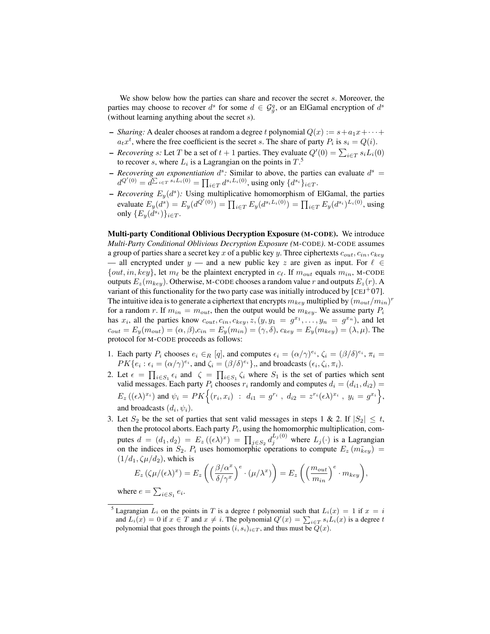We show below how the parties can share and recover the secret s. Moreover, the parties may choose to recover  $d^s$  for some  $d \in \mathcal{G}_g^q$ , or an ElGamal encryption of  $d^s$ (without learning anything about the secret s).

- *Sharing:* A dealer chooses at random a degree t polynomial  $Q(x) := s + a_1x + \cdots$  $a_t x^t$ , where the free coefficient is the secret s. The share of party  $P_i$  is  $s_i = Q(i)$ .
- *Recovering s*: Let *T* be a set of  $t + 1$  parties. They evaluate  $Q'(0) = \sum_{i \in T} s_i L_i(0)$ to recover s, where  $L_i$  is a Lagrangian on the points in  $T^{\,5}$ .
- *Recovering an exponentiation*  $d^s$ : Similar to above, the parties can evaluate  $d^s$  =  $d^{Q'(0)} = d^{\sum_{i \in T} s_i L_i(0)} = \prod_{i \in T} d^{s_i L_i(0)}$ , using only  $\{d^{s_i}\}_{i \in T}$ .
- *Recovering*  $E_y(d^s)$ : Using multiplicative homomorphism of ElGamal, the parties evaluate  $E_y(d^s) = E_y(d^{Q'(0)}) = \prod_{i \in T} E_y(d^{s_i L_i(0)}) = \prod_{i \in T} E_y(d^{s_i})^{L_i(0)}$ , using only  $\{E_y(d^{s_i})\}_{i\in T}$ .

Multi-party Conditional Oblivious Decryption Exposure (M-CODE). We introduce *Multi-Party Conditional Oblivious Decryption Exposure (*M-CODE*)*. M-CODE assumes a group of parties share a secret key x of a public key y. Three ciphertexts  $c_{out}, c_{in}, c_{kev}$ — all encrypted under y — and a new public key z are given as input. For  $\ell \in$ {*out, in, key*}, let  $m_\ell$  be the plaintext encrypted in  $c_\ell$ . If  $m_{out}$  equals  $m_{in}$ , M-CODE outputs  $E_z(m_{key})$ . Otherwise, M-CODE chooses a random value r and outputs  $E_z(r)$ . A variant of this functionality for the two party case was initially introduced by  $[CEJ^+07]$ . The intuitive idea is to generate a ciphertext that encrypts  $m_{key}$  multiplied by  $(m_{out}/m_{in})^r$ for a random r. If  $m_{in} = m_{out}$ , then the output would be  $m_{key}$ . We assume party  $P_i$ has  $x_i$ , all the parties know  $c_{out}, c_{in}, c_{key}, z, (y, y_1 = g^{x_1}, \ldots, y_n = g^{x_n})$ , and let  $c_{out} = E_y(m_{out}) = (\alpha, \beta), c_{in} = E_y(m_{in}) = (\gamma, \delta), c_{key} = E_y(m_{key}) = (\lambda, \mu).$  The protocol for M-CODE proceeds as follows:

- 1. Each party  $P_i$  chooses  $e_i \in_R [q]$ , and computes  $\epsilon_i = (\alpha/\gamma)^{e_i}$ ,  $\zeta_i = (\beta/\delta)^{e_i}$ ,  $\pi_i =$  $PK\{e_i : \epsilon_i = (\alpha/\gamma)^{e_i}$ , and  $\zeta_i = (\beta/\delta)^{e_i} \}$ ,, and broadcasts  $(\epsilon_i, \zeta_i, \pi_i)$ .
- 2. Let  $\epsilon = \prod_{i \in S_1} \epsilon_i$  and  $\zeta = \prod_{i \in S_1} \zeta_i$  where  $S_1$  is the set of parties which sent valid messages. Each party  $P_i$  chooses  $r_i$  randomly and computes  $d_i = (d_{i1}, d_{i2}) =$  $E_z\left((\epsilon\lambda)^{x_i}\right)$  and  $\psi_i=PK\Big\{(r_i,x_i)\;:\;d_{i1}=g^{r_i}\;,\;d_{i2}=z^{r_i}(\epsilon\lambda)^{x_i}\;,\;y_i=g^{x_i}\Big\},$ and broadcasts  $(d_i, \psi_i)$ .
- 3. Let  $S_2$  be the set of parties that sent valid messages in steps 1 & 2. If  $|S_2| \leq t$ , then the protocol aborts. Each party  $P_i$ , using the homomorphic multiplication, computes  $d = (d_1, d_2) = E_z((\epsilon \lambda)^x) = \prod_{j \in S_2} d_j^{L_j(0)}$  where  $L_j(\cdot)$  is a Lagrangian on the indices in  $S_2$ .  $P_i$  uses homomorphic operations to compute  $E_z(m_{key}^*)$  =  $(1/d_1, \zeta \mu/d_2)$ , which is

$$
E_z(\zeta\mu/(\epsilon\lambda)^x) = E_z\left(\left(\frac{\beta/\alpha^x}{\delta/\gamma^x}\right)^e \cdot (\mu/\lambda^x)\right) = E_z\left(\left(\frac{m_{out}}{m_{in}}\right)^e \cdot m_{key}\right),
$$

where  $e = \sum_{i \in S_1} e_i$ .

<sup>&</sup>lt;sup>5</sup> Lagrangian  $L_i$  on the points in T is a degree t polynomial such that  $L_i(x) = 1$  if  $x = i$ and  $L_i(x) = 0$  if  $x \in T$  and  $x \neq i$ . The polynomial  $Q'(x) = \sum_{i \in T} s_i L_i(x)$  is a degree t polynomial that goes through the points  $(i, s_i)_{i \in T}$ , and thus must be  $Q(x)$ .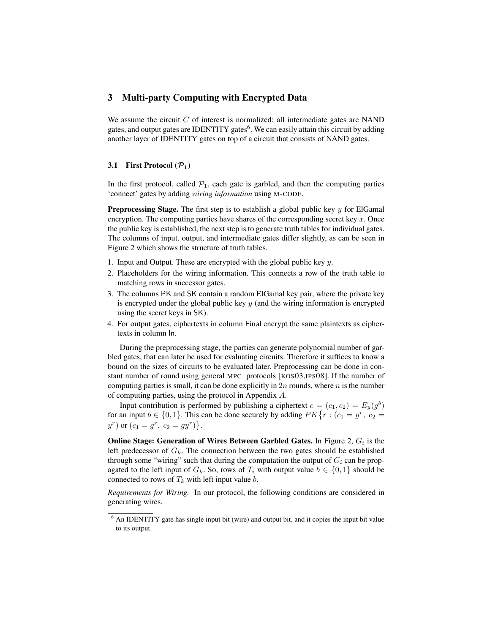# 3 Multi-party Computing with Encrypted Data

We assume the circuit  $C$  of interest is normalized: all intermediate gates are NAND gates, and output gates are IDENTITY gates $^6$ . We can easily attain this circuit by adding another layer of IDENTITY gates on top of a circuit that consists of NAND gates.

## 3.1 First Protocol  $(\mathcal{P}_1)$

In the first protocol, called  $P_1$ , each gate is garbled, and then the computing parties 'connect' gates by adding *wiring information* using M-CODE.

**Preprocessing Stage.** The first step is to establish a global public key  $\gamma$  for ElGamal encryption. The computing parties have shares of the corresponding secret key  $x$ . Once the public key is established, the next step is to generate truth tables for individual gates. The columns of input, output, and intermediate gates differ slightly, as can be seen in Figure 2 which shows the structure of truth tables.

- 1. Input and Output. These are encrypted with the global public key y.
- 2. Placeholders for the wiring information. This connects a row of the truth table to matching rows in successor gates.
- 3. The columns PK and SK contain a random ElGamal key pair, where the private key is encrypted under the global public key  $y$  (and the wiring information is encrypted using the secret keys in SK).
- 4. For output gates, ciphertexts in column Final encrypt the same plaintexts as ciphertexts in column In.

During the preprocessing stage, the parties can generate polynomial number of garbled gates, that can later be used for evaluating circuits. Therefore it suffices to know a bound on the sizes of circuits to be evaluated later. Preprocessing can be done in constant number of round using general MPC protocols [KOS03,IPS08]. If the number of computing parties is small, it can be done explicitly in  $2n$  rounds, where n is the number of computing parties, using the protocol in Appendix A.

Input contribution is performed by publishing a ciphertext  $c = (c_1, c_2) = E_y(g^b)$ for an input  $b \in \{0, 1\}$ . This can be done securely by adding  $PK\{r : (c_1 = g^r, c_2 = g^r)\}$  $y^{r}$  or  $(c_1 = g^{r}, c_2 = gy^{r})$  }.

**Online Stage: Generation of Wires Between Garbled Gates.** In Figure 2,  $G_i$  is the left predecessor of  $G_k$ . The connection between the two gates should be established through some "wiring" such that during the computation the output of  $G_i$  can be propagated to the left input of  $G_k$ . So, rows of  $T_i$  with output value  $b \in \{0,1\}$  should be connected to rows of  $T_k$  with left input value b.

*Requirements for Wiring.* In our protocol, the following conditions are considered in generating wires.

 $6$  An IDENTITY gate has single input bit (wire) and output bit, and it copies the input bit value to its output.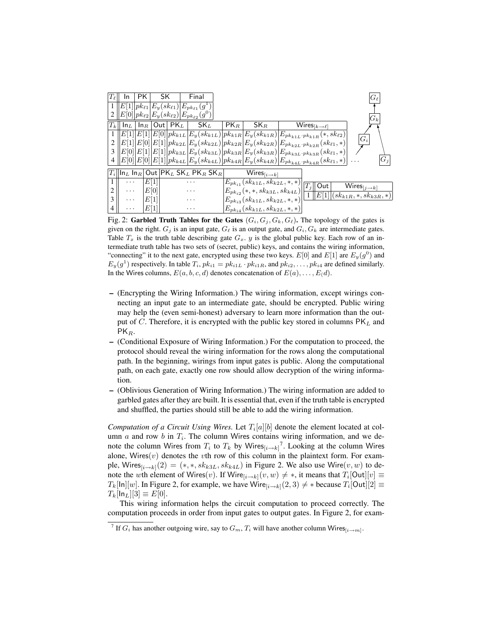

Fig. 2: Garbled Truth Tables for the Gates  $(G_i, G_j, G_k, G_\ell)$ . The topology of the gates is given on the right.  $G_j$  is an input gate,  $G_\ell$  is an output gate, and  $G_i, G_k$  are intermediate gates. Table  $T_x$  is the truth table describing gate  $G_x$ . y is the global public key. Each row of an intermediate truth table has two sets of (secret, public) keys, and contains the wiring information, "connecting" it to the next gate, encrypted using these two keys.  $E[0]$  and  $E[1]$  are  $E_y(g^0)$  and  $E_y(g^1)$  respectively. In table  $T_i$ ,  $pk_{i1} = pk_{i1L} \cdot pk_{i1R}$ , and  $pk_{i2}, \ldots, pk_{i4}$  are defined similarly. In the Wires columns,  $E(a, b, c, d)$  denotes concatenation of  $E(a), \ldots, E(d)$ .

- (Encrypting the Wiring Information.) The wiring information, except wirings connecting an input gate to an intermediate gate, should be encrypted. Public wiring may help the (even semi-honest) adversary to learn more information than the output of C. Therefore, it is encrypted with the public key stored in columns  $PK<sub>L</sub>$  and  $PK_{B}$ .
- (Conditional Exposure of Wiring Information.) For the computation to proceed, the protocol should reveal the wiring information for the rows along the computational path. In the beginning, wirings from input gates is public. Along the computational path, on each gate, exactly one row should allow decryption of the wiring information.
- (Oblivious Generation of Wiring Information.) The wiring information are added to garbled gates after they are built. It is essential that, even if the truth table is encrypted and shuffled, the parties should still be able to add the wiring information.

*Computation of a Circuit Using Wires.* Let  $T_i[a][b]$  denote the element located at column  $a$  and row  $b$  in  $T_i$ . The column Wires contains wiring information, and we denote the column Wires from  $T_i$  to  $T_k$  by Wires $_{[i\rightarrow k]}^7$ . Looking at the column Wires alone, Wires $(v)$  denotes the vth row of this column in the plaintext form. For example, Wires $S_{[i\rightarrow k]}(2) = (*,*, \, s k_{k3L}, \, s k_{k4L})$  in Figure 2. We also use Wire $(v, w)$  to denote the wth element of Wires $(v)$ . If Wire $_{[i\rightarrow k]}(v,w)\neq *$ , it means that  $T_i[\text{Out}][v]\equiv$  $T_k[\mathsf{In}][w]$ . In Figure 2, for example, we have Wire $_{[i\rightarrow k]}(2,3)\neq *$  because  $T_i[\mathsf{Out}][2]\equiv$  $T_k[\ln_L][3] \equiv E[0].$ 

This wiring information helps the circuit computation to proceed correctly. The computation proceeds in order from input gates to output gates. In Figure 2, for exam-

<sup>&</sup>lt;sup>7</sup> If  $G_i$  has another outgoing wire, say to  $G_m$ ,  $T_i$  will have another column Wires $_{[i \rightarrow m]}$ .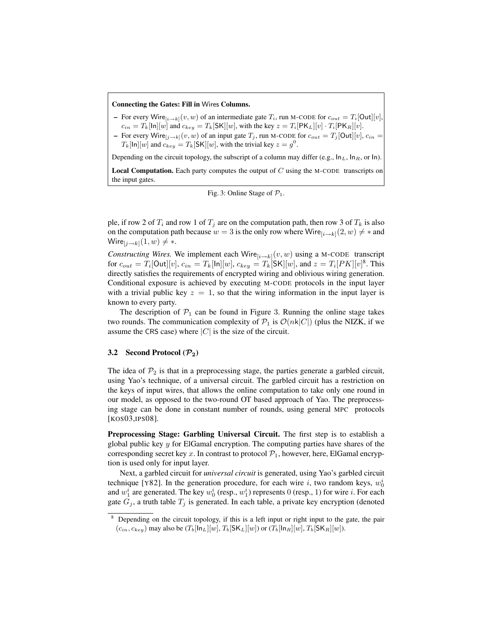### Connecting the Gates: Fill in Wires Columns.

- For every Wire $_{[i\rightarrow k]}(v, w)$  of an intermediate gate  $T_i$ , run M-CODE for  $c_{out} = T_i[Out][v]$ ,  $c_{in} = T_k[\ln][w]$  and  $c_{key} = T_k[\text{SK}][w]$ , with the key  $z = T_i[\text{PK}_L][v] \cdot T_i[\text{PK}_R][v]$ .
- For every Wire  $[y \rightarrow k](v, w)$  of an input gate  $T_j$ , run M-CODE for  $c_{out} = T_j[\text{Out}][v]$ ,  $c_{in} =$  $T_k[\ln][w]$  and  $c_{key} = T_k[\mathsf{SK}][w]$ , with the trivial key  $z = g^0$ .

Depending on the circuit topology, the subscript of a column may differ (e.g.,  $\ln_L$ ,  $\ln_R$ , or  $\ln$ ).

**Local Computation.** Each party computes the output of  $C$  using the M-CODE transcripts on the input gates.

Fig. 3: Online Stage of  $P_1$ .

ple, if row 2 of  $T_i$  and row 1 of  $T_j$  are on the computation path, then row 3 of  $T_k$  is also on the computation path because  $w = 3$  is the only row where Wire $[i \rightarrow k](2, w) \neq *$  and Wire $_{[j\rightarrow k]}(1, w) \neq *$ .

*Constructing Wires.* We implement each Wire $_{[i \rightarrow k]}(v, w)$  using a M-CODE transcript for  $c_{out} = T_i[\text{Out}][v], c_{in} = T_k[\text{In}][w], c_{key} = T_k[\text{SK}][w]$ , and  $z = T_i[PK][v]^8$ . This directly satisfies the requirements of encrypted wiring and oblivious wiring generation. Conditional exposure is achieved by executing M-CODE protocols in the input layer with a trivial public key  $z = 1$ , so that the wiring information in the input layer is known to every party.

The description of  $P_1$  can be found in Figure 3. Running the online stage takes two rounds. The communication complexity of  $\mathcal{P}_1$  is  $\mathcal{O}(nk|C|)$  (plus the NIZK, if we assume the CRS case) where  $|C|$  is the size of the circuit.

#### 3.2 Second Protocol  $(\mathcal{P}_2)$

The idea of  $\mathcal{P}_2$  is that in a preprocessing stage, the parties generate a garbled circuit, using Yao's technique, of a universal circuit. The garbled circuit has a restriction on the keys of input wires, that allows the online computation to take only one round in our model, as opposed to the two-round OT based approach of Yao. The preprocessing stage can be done in constant number of rounds, using general MPC protocols [KOS03,IPS08].

Preprocessing Stage: Garbling Universal Circuit. The first step is to establish a global public key  $y$  for ElGamal encryption. The computing parties have shares of the corresponding secret key x. In contrast to protocol  $\mathcal{P}_1$ , however, here, ElGamal encryption is used only for input layer.

Next, a garbled circuit for *universal circuit* is generated, using Yao's garbled circuit technique [Y82]. In the generation procedure, for each wire i, two random keys,  $w_0^i$ and  $w_1^i$  are generated. The key  $w_0^i$  (resp.,  $w_1^i$ ) represents 0 (resp., 1) for wire *i*. For each gate  $G_j$ , a truth table  $T_j$  is generated. In each table, a private key encryption (denoted

<sup>&</sup>lt;sup>8</sup> Depending on the circuit topology, if this is a left input or right input to the gate, the pair  $(c_{in}, c_{key})$  may also be  $(T_b[\ln_L][w], T_b[\text{SK}_L][w])$  or  $(T_b[\ln_R][w], T_b[\text{SK}_R][w])$ .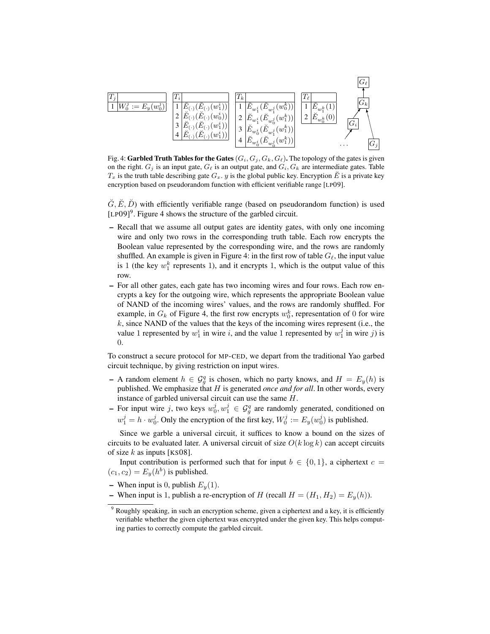

Fig. 4: Garbled Truth Tables for the Gates  $(G_i, G_j, G_k, G_\ell)$ . The topology of the gates is given on the right.  $G_j$  is an input gate,  $G_\ell$  is an output gate, and  $G_i, G_k$  are intermediate gates. Table  $T_x$  is the truth table describing gate  $G_x$ . y is the global public key. Encryption  $\check{E}$  is a private key encryption based on pseudorandom function with efficient verifiable range [LP09].

 $\check{G}, \check{E}, \check{D}$ ) with efficiently verifiable range (based on pseudorandom function) is used  $[LPO9]$ <sup>9</sup>. Figure 4 shows the structure of the garbled circuit.

- Recall that we assume all output gates are identity gates, with only one incoming wire and only two rows in the corresponding truth table. Each row encrypts the Boolean value represented by the corresponding wire, and the rows are randomly shuffled. An example is given in Figure 4: in the first row of table  $G_\ell$ , the input value is 1 (the key  $w_1^k$  represents 1), and it encrypts 1, which is the output value of this row.
- For all other gates, each gate has two incoming wires and four rows. Each row encrypts a key for the outgoing wire, which represents the appropriate Boolean value of NAND of the incoming wires' values, and the rows are randomly shuffled. For example, in  $G_k$  of Figure 4, the first row encrypts  $w_0^k$ , representation of 0 for wire  $k$ , since NAND of the values that the keys of the incoming wires represent (i.e., the value 1 represented by  $w_1^i$  in wire *i*, and the value 1 represented by  $w_1^j$  in wire *j*) is 0.

To construct a secure protocol for MP-CED, we depart from the traditional Yao garbed circuit technique, by giving restriction on input wires.

- A random element  $h \in \mathcal{G}_g^q$  is chosen, which no party knows, and  $H = E_g(h)$  is published. We emphasize that H is generated *once and for all*. In other words, every instance of garbled universal circuit can use the same H.
- For input wire j, two keys  $w_0^j, w_1^j \in \mathcal{G}_g^q$  are randomly generated, conditioned on  $w_1^j = h \cdot w_0^j$ . Only the encryption of the first key,  $W_0^j := E_y(w_0^j)$  is published.

Since we garble a universal circuit, it suffices to know a bound on the sizes of circuits to be evaluated later. A universal circuit of size  $O(k \log k)$  can accept circuits of size  $k$  as inputs [KS08].

Input contribution is performed such that for input  $b \in \{0, 1\}$ , a ciphertext  $c =$  $(c_1, c_2) = E_y(h^b)$  is published.

- When input is 0, publish  $E_y(1)$ .
- When input is 1, publish a re-encryption of H (recall  $H = (H_1, H_2) = E_y(h)$ ).

<sup>&</sup>lt;sup>9</sup> Roughly speaking, in such an encryption scheme, given a ciphertext and a key, it is efficiently verifiable whether the given ciphertext was encrypted under the given key. This helps computing parties to correctly compute the garbled circuit.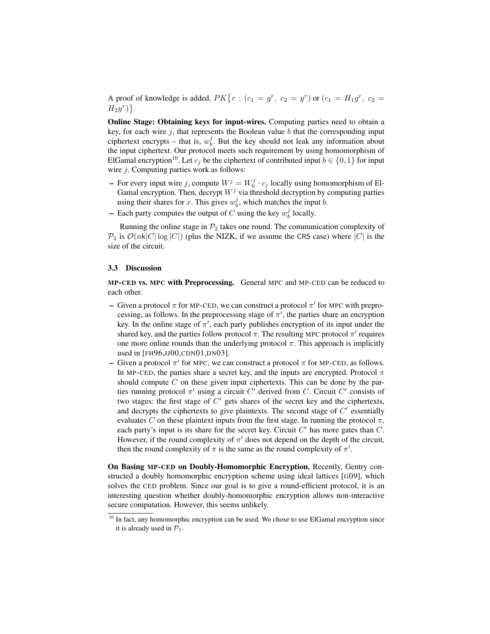A proof of knowledge is added,  $PK{r : (c_1 = g^r, c_2 = y^r) \text{ or } (c_1 = H_1g^r, c_2 = f^r)}$  $H_2y^r$  }.

Online Stage: Obtaining keys for input-wires. Computing parties need to obtain a key, for each wire  $j$ , that represents the Boolean value  $b$  that the corresponding input ciphertext encrypts – that is,  $w_b^j$ . But the key should not leak any information about the input ciphertext. Our protocol meets such requirement by using homomorphism of ElGamal encryption<sup>10</sup>. Let  $c_i$  be the ciphertext of contributed input  $b \in \{0, 1\}$  for input wire  $j$ . Computing parties work as follows:

- For every input wire j, compute  $W^j = W_0^j \cdot c_j$  locally using homomorphism of El-Gamal encryption. Then, decrypt  $W<sup>j</sup>$  via threshold decryption by computing parties using their shares for x. This gives  $w_b^j$ , which matches the input b.
- Each party computes the output of C using the key  $w_b^j$  locally.

Running the online stage in  $\mathcal{P}_2$  takes one round. The communication complexity of  $\mathcal{P}_2$  is  $\mathcal{O}(nk|C|\log|C|)$  (plus the NIZK, if we assume the CRS case) where  $|C|$  is the size of the circuit.

#### 3.3 Discussion

MP-CED vs. MPC with Preprocessing. General MPC and MP-CED can be reduced to each other.

- Given a protocol  $\pi$  for MP-CED, we can construct a protocol  $\pi'$  for MPC with preprocessing, as follows. In the preprocessing stage of  $\pi'$ , the parties share an encryption key. In the online stage of  $\pi'$ , each party publishes encryption of its input under the shared key, and the parties follow protocol  $\pi$ . The resulting MPC protocol  $\pi'$  requires one more online rounds than the underlying protocol  $\pi$ . This approach is implicitly used in [FH96,JJ00,CDN01,DN03].
- Given a protocol  $\pi'$  for MPC, we can construct a protocol  $\pi$  for MP-CED, as follows. In MP-CED, the parties share a secret key, and the inputs are encrypted. Protocol  $\pi$ should compute  $C$  on these given input ciphertexts. This can be done by the parties running protocol  $\pi'$  using a circuit  $C'$  derived from C. Circuit  $C'$  consists of two stages: the first stage of  $C'$  gets shares of the secret key and the ciphertexts, and decrypts the ciphertexts to give plaintexts. The second stage of  $C'$  essentially evaluates C on these plaintext inputs from the first stage. In running the protocol  $\pi$ , each party's input is its share for the secret key. Circuit  $C'$  has more gates than  $C$ . However, if the round complexity of  $\pi'$  does not depend on the depth of the circuit, then the round complexity of  $\pi$  is the same as the round complexity of  $\pi'$ .

On Basing MP-CED on Doubly-Homomorphic Encryption. Recently, Gentry constructed a doubly homomorphic encryption scheme using ideal lattices [G09], which solves the CED problem. Since our goal is to give a round-efficient protocol, it is an interesting question whether doubly-homomorphic encryption allows non-interactive secure computation. However, this seems unlikely.

<sup>&</sup>lt;sup>10</sup> In fact, any homomorphic encryption can be used. We chose to use ElGamal encryption since it is already used in  $\mathcal{P}_1$ .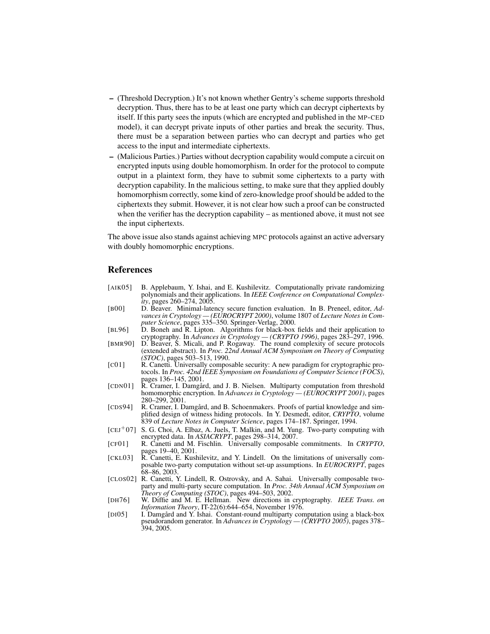- (Threshold Decryption.) It's not known whether Gentry's scheme supports threshold decryption. Thus, there has to be at least one party which can decrypt ciphertexts by itself. If this party sees the inputs (which are encrypted and published in the MP-CED model), it can decrypt private inputs of other parties and break the security. Thus, there must be a separation between parties who can decrypt and parties who get access to the input and intermediate ciphertexts.
- (Malicious Parties.) Parties without decryption capability would compute a circuit on encrypted inputs using double homomorphism. In order for the protocol to compute output in a plaintext form, they have to submit some ciphertexts to a party with decryption capability. In the malicious setting, to make sure that they applied doubly homomorphism correctly, some kind of zero-knowledge proof should be added to the ciphertexts they submit. However, it is not clear how such a proof can be constructed when the verifier has the decryption capability – as mentioned above, it must not see the input ciphertexts.

The above issue also stands against achieving MPC protocols against an active adversary with doubly homomorphic encryptions.

## **References**

- [AIK05] B. Applebaum, Y. Ishai, and E. Kushilevitz. Computationally private randomizing polynomials and their applications. In *IEEE Conference on Computational Complexity*, pages 260–274, 2005.
- [B00] D. Beaver. Minimal-latency secure function evaluation. In B. Preneel, editor, *Advances in Cryptology — (EUROCRYPT 2000)*, volume 1807 of *Lecture Notes in Computer Science*, pages 335–350. Springer-Verlag, 2000.
- [BL96] D. Boneh and R. Lipton. Algorithms for black-box fields and their application to cryptography. In *Advances in Cryptology — (CRYPTO 1996)*, pages 283–297, 1996.
- [BMR90] D. Beaver, S. Micali, and P. Rogaway. The round complexity of secure protocols (extended abstract). In *Proc. 22nd Annual ACM Symposium on Theory of Computing (STOC)*, pages 503–513, 1990.
- [C01] R. Canetti. Universally composable security: A new paradigm for cryptographic protocols. In *Proc. 42nd IEEE Symposium on Foundations of Computer Science (FOCS)*, pages 136–145, 2001.
- [CDN01] R. Cramer, I. Damgård, and J. B. Nielsen. Multiparty computation from threshold homomorphic encryption. In *Advances in Cryptology — (EUROCRYPT 2001)*, pages 280–299, 2001.
- [CDS94] R. Cramer, I. Damgård, and B. Schoenmakers. Proofs of partial knowledge and simplified design of witness hiding protocols. In Y. Desmedt, editor, *CRYPTO*, volume 839 of *Lecture Notes in Computer Science*, pages 174–187. Springer, 1994.
- [CEJ<sup>+</sup>07] S. G. Choi, A. Elbaz, A. Juels, T. Malkin, and M. Yung. Two-party computing with encrypted data. In *ASIACRYPT*, pages 298–314, 2007.
- [CF01] R. Canetti and M. Fischlin. Universally composable commitments. In *CRYPTO*, pages 19–40, 2001.
- [CKL03] R. Canetti, E. Kushilevitz, and Y. Lindell. On the limitations of universally composable two-party computation without set-up assumptions. In *EUROCRYPT*, pages 68–86, 2003.
- [CLOS02] R. Canetti, Y. Lindell, R. Ostrovsky, and A. Sahai. Universally composable twoparty and multi-party secure computation. In *Proc. 34th Annual ACM Symposium on Theory of Computing (STOC)*, pages 494–503, 2002.
- [DH76] W. Diffie and M. E. Hellman. New directions in cryptography. *IEEE Trans. on Information Theory*, IT-22(6):644–654, November 1976.
- [DI05] I. Damgård and Y. Ishai. Constant-round multiparty computation using a black-box pseudorandom generator. In *Advances in Cryptology — (CRYPTO 2005)*, pages 378– 394, 2005.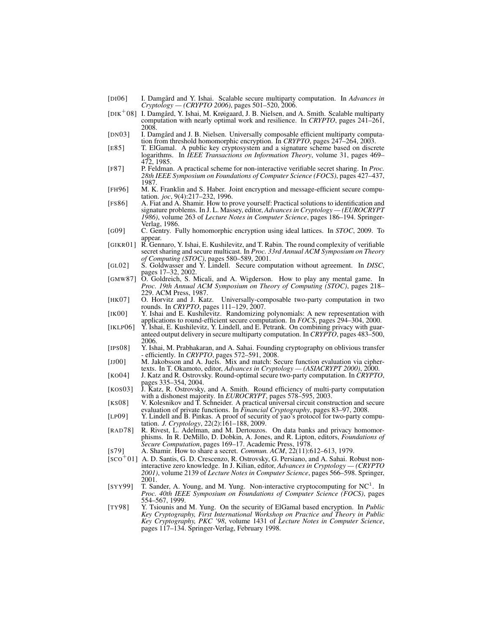- [DI06] I. Damgård and Y. Ishai. Scalable secure multiparty computation. In Advances in *Cryptology — (CRYPTO 2006)*, pages 501–520, 2006.
- [DIK<sup>+</sup>08] I. Damgård, Y. Ishai, M. Krøigaard, J. B. Nielsen, and A. Smith. Scalable multiparty computation with nearly optimal work and resilience. In *CRYPTO*, pages 241–261, 2008.
- [DN03] I. Damgård and J. B. Nielsen. Universally composable efficient multiparty computation from threshold homomorphic encryption. In *CRYPTO*, pages 247–264, 2003.
- [E85] T. ElGamal. A public key cryptosystem and a signature scheme based on discrete logarithms. In *IEEE Transactions on Information Theory*, volume 31, pages 469– 472, 1985.
- [F87] P. Feldman. A practical scheme for non-interactive verifiable secret sharing. In *Proc. 28th IEEE Symposium on Foundations of Computer Science (FOCS)*, pages 427–437, 1987.
- [FH96] M. K. Franklin and S. Haber. Joint encryption and message-efficient secure computation. *joc*, 9(4):217–232, 1996.
- [FS86] A. Fiat and A. Shamir. How to prove yourself: Practical solutions to identification and signature problems. In J. L. Massey, editor, *Advances in Cryptology — (EUROCRYPT 1986)*, volume 263 of *Lecture Notes in Computer Science*, pages 186–194. Springer-Verlag, 1986.
- [G09] C. Gentry. Fully homomorphic encryption using ideal lattices. In *STOC*, 2009. To appear.
- [GIKR01] R. Gennaro, Y. Ishai, E. Kushilevitz, and T. Rabin. The round complexity of verifiable secret sharing and secure multicast. In *Proc. 33rd Annual ACM Symposium on Theory of Computing (STOC)*, pages 580–589, 2001.
- [GL02] S. Goldwasser and Y. Lindell. Secure computation without agreement. In *DISC*, pages 17–32, 2002.
- [GMW87] O. Goldreich, S. Micali, and A. Wigderson. How to play any mental game. In *Proc. 19th Annual ACM Symposium on Theory of Computing (STOC)*, pages 218– 229. ACM Press, 1987.
- [HK07] O. Horvitz and J. Katz. Universally-composable two-party computation in two rounds. In *CRYPTO*, pages 111–129, 2007.
- [IK00] Y. Ishai and E. Kushilevitz. Randomizing polynomials: A new representation with applications to round-efficient secure computation. In *FOCS*, pages 294–304, 2000.
- [IKLP06] Y. Ishai, E. Kushilevitz, Y. Lindell, and E. Petrank. On combining privacy with guaranteed output delivery in secure multiparty computation. In *CRYPTO*, pages 483–500, 2006.
- [IPS08] Y. Ishai, M. Prabhakaran, and A. Sahai. Founding cryptography on oblivious transfer - efficiently. In *CRYPTO*, pages 572–591, 2008.
- [JJ00] M. Jakobsson and A. Juels. Mix and match: Secure function evaluation via ciphertexts. In T. Okamoto, editor, *Advances in Cryptology — (ASIACRYPT 2000)*, 2000.
- [KO04] J. Katz and R. Ostrovsky. Round-optimal secure two-party computation. In *CRYPTO*, pages 335–354, 2004.
- [KOS03] J. Katz, R. Ostrovsky, and A. Smith. Round efficiency of multi-party computation with a dishonest majority. In *EUROCRYPT*, pages 578–595, 2003.
- [KS08] V. Kolesnikov and T. Schneider. A practical universal circuit construction and secure evaluation of private functions. In *Financial Cryptography*, pages 83–97, 2008.
- [LP09] Y. Lindell and B. Pinkas. A proof of security of yao's protocol for two-party computation. *J. Cryptology*, 22(2):161–188, 2009.
- [RAD78] R. Rivest, L. Adelman, and M. Dertouzos. On data banks and privacy homomorphisms. In R. DeMillo, D. Dobkin, A. Jones, and R. Lipton, editors, *Foundations of Secure Computation*, pages 169–17. Academic Press, 1978.
- [S79] A. Shamir. How to share a secret. *Commun. ACM*, 22(11):612–613, 1979.
- $[SCO<sup>+</sup>01]$  A. D. Santis, G. D. Crescenzo, R. Ostrovsky, G. Persiano, and A. Sahai. Robust noninteractive zero knowledge. In J. Kilian, editor, *Advances in Cryptology — (CRYPTO 2001)*, volume 2139 of *Lecture Notes in Computer Science*, pages 566–598. Springer, 2001.
- [SYY99] T. Sander, A. Young, and M. Yung. Non-interactive cryptocomputing for  $NC<sup>1</sup>$ . In *Proc. 40th IEEE Symposium on Foundations of Computer Science (FOCS)*, pages 554–567, 1999.
- [TY98] Y. Tsiounis and M. Yung. On the security of ElGamal based encryption. In *Public Key Cryptography, First International Workshop on Practice and Theory in Public Key Cryptography, PKC '98*, volume 1431 of *Lecture Notes in Computer Science*, pages 117–134. Springer-Verlag, February 1998.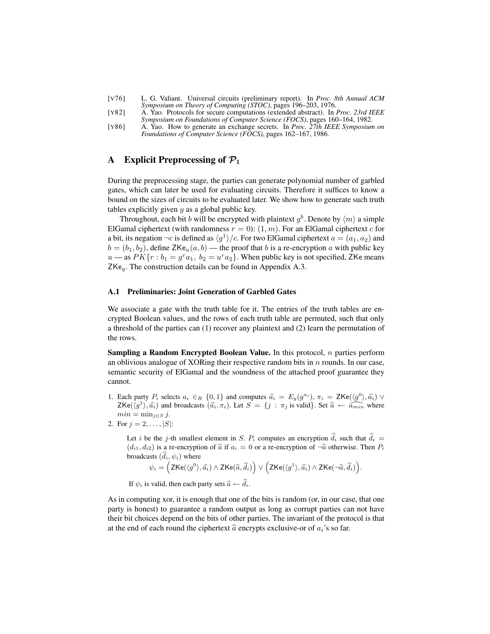- [V76] L. G. Valiant. Universal circuits (preliminary report). In *Proc. 8th Annual ACM Symposium on Theory of Computing (STOC)*, pages 196–203, 1976.
- [Y82] A. Yao. Protocols for secure computations (extended abstract). In *Proc. 23rd IEEE Symposium on Foundations of Computer Science (FOCS)*, pages 160–164, 1982.
- [Y86] A. Yao. How to generate an exchange secrets. In *Proc. 27th IEEE Symposium on Foundations of Computer Science (FOCS)*, pages 162–167, 1986.

# A Explicit Preprocessing of  $\mathcal{P}_1$

During the preprocessing stage, the parties can generate polynomial number of garbled gates, which can later be used for evaluating circuits. Therefore it suffices to know a bound on the sizes of circuits to be evaluated later. We show how to generate such truth tables explicitly given  $y$  as a global public key.

Throughout, each bit b will be encrypted with plaintext  $g^b$ . Denote by  $\langle m \rangle$  a simple ElGamal ciphertext (with randomness  $r = 0$ ):  $(1, m)$ . For an ElGamal ciphertext c for a bit, its negation  $\neg c$  is defined as  $\langle g^1 \rangle/c.$  For two ElGamal ciphertext  $a = (a_1, a_2)$  and  $b = (b_1, b_2)$ , define  $ZKe_u(a, b)$  — the proof that b is a re-encryption a with public key  $u$  — as  $PK\{r : b_1 = g^r a_1, b_2 = u^r a_2\}$ . When public key is not specified, ZKe means ZKey. The construction details can be found in Appendix A.3.

#### A.1 Preliminaries: Joint Generation of Garbled Gates

We associate a gate with the truth table for it. The entries of the truth tables are encrypted Boolean values, and the rows of each truth table are permuted, such that only a threshold of the parties can (1) recover any plaintext and (2) learn the permutation of the rows.

**Sampling a Random Encrypted Boolean Value.** In this protocol,  $n$  parties perform an oblivious analogue of XORing their respective random bits in  $n$  rounds. In our case, semantic security of ElGamal and the soundness of the attached proof guarantee they cannot.

- 1. Each party  $P_i$  selects  $a_i \in_R \{0,1\}$  and computes  $\hat{a}_i = E_y(g^{a_i}), \pi_i = \mathsf{ZKe}(\langle g^0 \rangle, \hat{a}_i) \vee$ <br> $\mathsf{ZKe}(\langle a^1 \rangle, \hat{a}_i)$  and broadcasts  $(\hat{a}_i, \pi_i)$ . Let  $S = \{i, j, \pi_i\}$  is valid  $\sum_{i} \mathsf{Ex}(\hat{a}_i)$  where  $ZKe(\langle g^1 \rangle, \hat{a}_i)$  and broadcasts  $(\hat{a}_i, \pi_i)$ . Let  $S = \{j : \pi_j \text{ is valid}\}\.$  Set  $\hat{a} \leftarrow \hat{a}_{min}$  where  $min = \min_{i \in S} j$ .
- 2. For  $j = 2, \ldots, |S|$ :

Let i be the j-th smallest element in S.  $P_i$  computes an encryption  $\hat{d}_i$  such that  $\hat{d}_i$  =  $(d_{i1}, d_{i2})$  is a re-encryption of  $\hat{a}$  if  $a_i = 0$  or a re-encryption of  $\neg \hat{a}$  otherwise. Then  $P_i$ broadcasts  $(\tilde{d}_i, \psi_i)$  where

$$
\psi_i = \Big(\mathsf{ZKe}(\langle g^0 \rangle, \widehat{a_i}) \wedge \mathsf{ZKe}(\widehat{a}, \widehat{d_i})\Big) \vee \Big(\mathsf{ZKe}(\langle g^1 \rangle, \widehat{a_i}) \wedge \mathsf{ZKe}(\neg \widehat{a}, \widehat{d_i})\Big).
$$

If  $\psi_i$  is valid, then each party sets  $\hat{a} \leftarrow \hat{d}_i$ .

As in computing xor, it is enough that one of the bits is random (or, in our case, that one party is honest) to guarantee a random output as long as corrupt parties can not have their bit choices depend on the bits of other parties. The invariant of the protocol is that at the end of each round the ciphertext  $\hat{a}$  encrypts exclusive-or of  $a_i$ 's so far.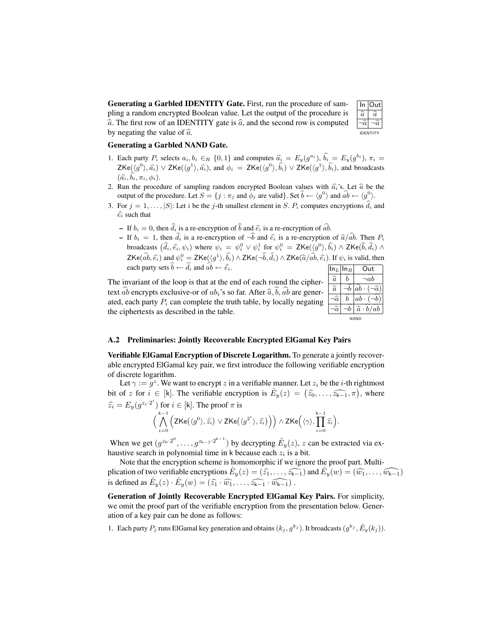Generating a Garbled IDENTITY Gate. First, run the procedure of sampling a random encrypted Boolean value. Let the output of the procedure is  $\hat{a}$ . The first row of an IDENTITY gate is  $\hat{a}$ , and the second row is computed by negating the value of  $\hat{a}$ .



#### Generating a Garbled NAND Gate.

- 1. Each party  $P_i$  selects  $a_i, b_i \in_R \{0,1\}$  and computes  $\hat{a}_i = E_y(g^{a_i}), \hat{b}_i = E_y(g^{b_i}), \pi_i =$ <br> $ZK_z((1,0), 0) \cup ZK_z((1,1), 0)$  and  $k = ZK_z((0,1), 0) \cup ZK_z((1,1), 0)$  and has dent- $ZKe(\langle g^0 \rangle, \widehat{a_i}) \vee ZKe(\langle g^1 \rangle, \widehat{a_i})$ , and  $\phi_i = ZKe(\langle g^0 \rangle, \widehat{b_i}) \vee ZKe(\langle g^1 \rangle, \widehat{b_i})$ , and broadcasts  $(\widehat{a_i}, \widehat{b_i}, \pi_i, \phi_i).$
- 2. Run the procedure of sampling random encrypted Boolean values with  $\hat{a}_i$ 's. Let  $\hat{a}$  be the output of the procedure. Let  $S = \{j : \pi_j \text{ and } \phi_j \text{ are valid}\}\.$  Set  $\widehat{b} \leftarrow \langle g^0 \rangle$  and  $\widehat{ab} \leftarrow \langle g^0 \rangle$ .
- 3. For  $j = 1, \ldots, |S|$ : Let i be the j-th smallest element in S.  $P_i$  computes encryptions  $\hat{d}_i$  and  $\widehat{e_i}$  such that
	- If  $b_i = 0$ , then  $\hat{d}_i$  is a re-encryption of  $\hat{b}$  and  $\hat{e}_i$  is a re-encryption of  $\hat{ab}$ .
	- If  $b_i = 1$ , then  $\hat{d}_i$  is a re-encryption of  $\hat{-b}$  and  $\hat{e}_i$  is a re-encryption of  $\hat{a}/\hat{a}b$ . Then  $P_i$ broadcasts  $(\hat{d}_i, \hat{e}_i, \psi_i)$  where  $\psi_i = \psi_i^0 \vee \psi_i^1$  for  $\psi_i^0 = \mathsf{ZKe}(\langle g^0 \rangle, \hat{b}_i) \wedge \mathsf{ZKe}(\hat{b}, \hat{d}_i) \wedge \mathsf{ZKe}(\hat{c}_i, \hat{d}_i)$  $ZK\mathsf{e}(\widehat{ab}, \widehat{e_i})$  and  $\psi_i^0 = ZK\mathsf{e}(\langle g^1 \rangle, \widehat{b_i}) \wedge ZK\mathsf{e}(\neg \widehat{b}, \widehat{d_i}) \wedge ZK\mathsf{e}(\widehat{a}/\widehat{ab}, \widehat{e_i})$ . If  $\psi_i$  is valid, then each party sets  $\hat{b} \leftarrow \hat{d}_i$  and  $\hat{ab} \leftarrow \hat{e}_i$ .

The invariant of the loop is that at the end of each round the ciphertext  $\hat{ab}$  encrypts exclusive-or of  $ab_i$ 's so far. After  $\hat{a}, \hat{b}, \hat{ab}$  are generated, each party  $P_i$  can complete the truth table, by locally negating the ciphertexts as described in the table.

| In $_L$       | $\ln_R$ | Out                               |  |  |
|---------------|---------|-----------------------------------|--|--|
| ã             | h       | ۱ab                               |  |  |
| â             | ۱b٠     | $ab \cdot (\neg \widehat{a})$     |  |  |
| $\widehat{a}$ | b       | $\hat{ab}$                        |  |  |
| $\hat{a}$     | ۱h      | $\widehat{a}\cdot \widehat{b}/ab$ |  |  |
| <b>NAND</b>   |         |                                   |  |  |

.

## A.2 Preliminaries: Jointly Recoverable Encrypted ElGamal Key Pairs

Verifiable ElGamal Encryption of Discrete Logarithm. To generate a jointly recoverable encrypted ElGamal key pair, we first introduce the following verifiable encryption of discrete logarithm.

Let  $\gamma := g^z$ . We want to encrypt z in a verifiable manner. Let  $z_i$  be the *i*-th rightmost bit of z for  $i \in [k]$ . The verifiable encryption is  $\hat{E}_y(z) = (\hat{z}_0, \dots, \hat{z}_{k-1}, \pi)$ , where  $\widehat{z}_i = E_y(g^{z_i \cdot 2^i})$  for  $i \in [\mathsf{k}]$ . The proof  $\pi$  is

$$
\Big(\bigwedge_{i=0}^{\mathsf{k}-1} \Big(\mathsf{ZKe}\big(\langle g^0 \rangle, \widehat{z_i}\big) \vee \mathsf{ZKe}\big(\langle g^{2^i} \rangle, \widehat{z_i}\big)\Big)\Big) \wedge \mathsf{ZKe}\Big(\langle \gamma \rangle, \prod_{i=0}^{\mathsf{k}-1} \widehat{z_i}\Big)
$$

When we get  $(g^{z_0 \cdot 2^0}, \dots, g^{z_{k-1} \cdot 2^{k-1}})$  by decrypting  $\hat{E}_y(z)$ , z can be extracted via exhaustive search in polynomial time in  $k$  because each  $z_i$  is a bit.

Note that the encryption scheme is homomorphic if we ignore the proof part. Multiplication of two verifiable encryptions  $\hat{E}_y(z) = (\hat{z}_1, \dots, \hat{z}_{k-1})$  and  $\hat{E}_y(w) = (\hat{w}_1, \dots, \hat{w}_{k-1})$ is defined as  $\hat{E}_y(z) \cdot \hat{E}_y(w) = (\hat{z}_1 \cdot \hat{w}_1, \dots, \hat{z}_{k-1} \cdot \hat{w}_{k-1})$ .

Generation of Jointly Recoverable Encrypted ElGamal Key Pairs. For simplicity, we omit the proof part of the verifiable encryption from the presentation below. Generation of a key pair can be done as follows:

1. Each party  $P_j$  runs ElGamal key generation and obtains  $(k_j, g^{k_j})$ . It broadcasts  $(g^{k_j}, \hat{E}_y(k_j))$ .